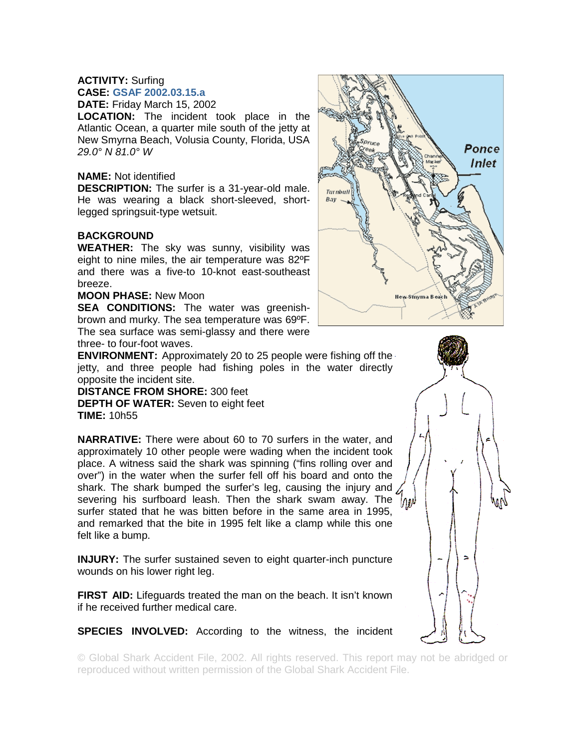## **ACTIVITY:** Surfing **CASE: GSAF 2002.03.15.a**

**DATE:** Friday March 15, 2002

**LOCATION:** The incident took place in the Atlantic Ocean, a quarter mile south of the jetty at New Smyrna Beach, Volusia County, Florida, USA *29.0° N 81.0° W* 

## **NAME:** Not identified

**DESCRIPTION:** The surfer is a 31-year-old male. He was wearing a black short-sleeved, shortlegged springsuit-type wetsuit.

## **BACKGROUND**

**WEATHER:** The sky was sunny, visibility was eight to nine miles, the air temperature was 82ºF and there was a five-to 10-knot east-southeast breeze.

## **MOON PHASE:** New Moon

**SEA CONDITIONS:** The water was greenishbrown and murky. The sea temperature was 69ºF. The sea surface was semi-glassy and there were three- to four-foot waves.

**ENVIRONMENT:** Approximately 20 to 25 people were fishing off the jetty, and three people had fishing poles in the water directly opposite the incident site.

**DISTANCE FROM SHORE:** 300 feet **DEPTH OF WATER:** Seven to eight feet **TIME:** 10h55

**NARRATIVE:** There were about 60 to 70 surfers in the water, and approximately 10 other people were wading when the incident took place. A witness said the shark was spinning ("fins rolling over and over") in the water when the surfer fell off his board and onto the shark. The shark bumped the surfer's leg, causing the injury and severing his surfboard leash. Then the shark swam away. The  $\langle \rho_{\rm 1M} \rangle$ surfer stated that he was bitten before in the same area in 1995, and remarked that the bite in 1995 felt like a clamp while this one felt like a bump.

**INJURY:** The surfer sustained seven to eight quarter-inch puncture wounds on his lower right leg.

**FIRST AID:** Lifeguards treated the man on the beach. It isn't known if he received further medical care.

**SPECIES INVOLVED:** According to the witness, the incident

© Global Shark Accident File, 2002. All rights reserved. This report may not be abridged or reproduced without written permission of the Global Shark Accident File.